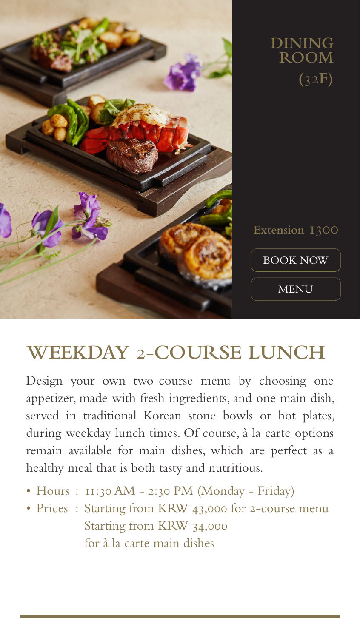

## **WEEKDAY** 2-**COURSE LUNCH**

Design your own two-course menu by choosing one appetizer, made with fresh ingredients, and one main dish, served in traditional Korean stone bowls or hot plates, during weekday lunch times. Of course, à la carte options remain available for main dishes, which are perfect as a healthy meal that is both tasty and nutritious.

- Hours : 11:30 AM 2:30 PM (Monday Friday)
- Prices: Starting from KRW 43,000 for 2-course menu Starting from KRW 34,000 for à la carte main dishes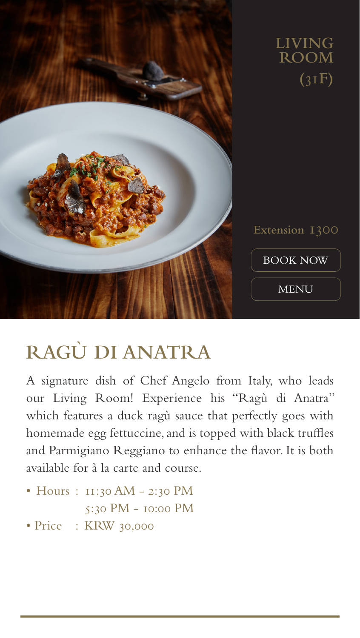

## **RAGÙ DI ANATRA**

A signature dish of Chef Angelo from Italy, who leads our Living Room! Experience his "Ragù di Anatra" which features a duck ragù sauce that perfectly goes with homemade egg fettuccine, and is topped with black truffles and Parmigiano Reggiano to enhance the flavor. It is both available for à la carte and course.

- Hours : 11:30 AM 2:30 PM 5:30 PM - 10:00 PM
- Price : KRW 30,000